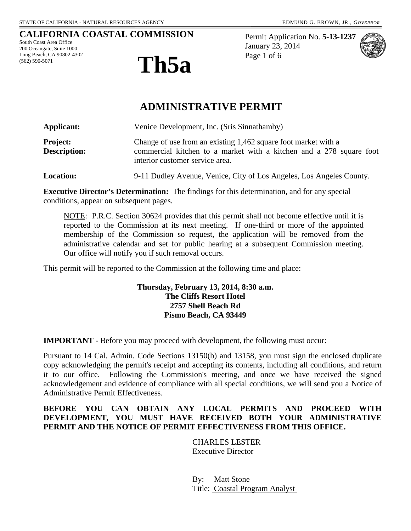#### **CALIFORNIA COASTAL COMMISSION**

South Coast Area Office 200 Oceangate, Suite 1000 Long Beach, CA 90802-4302 (562) 590-5071



Permit Application No. **5-13-1237** January 23, 2014 Page 1 of 6



# **ADMINISTRATIVE PERMIT**

| Applicant:                             | Venice Development, Inc. (Sris Sinnathamby)                                                                                                                              |
|----------------------------------------|--------------------------------------------------------------------------------------------------------------------------------------------------------------------------|
| <b>Project:</b><br><b>Description:</b> | Change of use from an existing 1,462 square foot market with a<br>commercial kitchen to a market with a kitchen and a 278 square foot<br>interior customer service area. |
| <b>Location:</b>                       | 9-11 Dudley Avenue, Venice, City of Los Angeles, Los Angeles County.                                                                                                     |

**Executive Director's Determination:** The findings for this determination, and for any special conditions, appear on subsequent pages.

NOTE: P.R.C. Section 30624 provides that this permit shall not become effective until it is reported to the Commission at its next meeting. If one-third or more of the appointed membership of the Commission so request, the application will be removed from the administrative calendar and set for public hearing at a subsequent Commission meeting. Our office will notify you if such removal occurs.

This permit will be reported to the Commission at the following time and place:

#### **Thursday, February 13, 2014, 8:30 a.m. The Cliffs Resort Hotel 2757 Shell Beach Rd Pismo Beach, CA 93449**

**IMPORTANT** - Before you may proceed with development, the following must occur:

Pursuant to 14 Cal. Admin. Code Sections 13150(b) and 13158, you must sign the enclosed duplicate copy acknowledging the permit's receipt and accepting its contents, including all conditions, and return it to our office. Following the Commission's meeting, and once we have received the signed acknowledgement and evidence of compliance with all special conditions, we will send you a Notice of Administrative Permit Effectiveness.

#### **BEFORE YOU CAN OBTAIN ANY LOCAL PERMITS AND PROCEED WITH DEVELOPMENT, YOU MUST HAVE RECEIVED BOTH YOUR ADMINISTRATIVE PERMIT AND THE NOTICE OF PERMIT EFFECTIVENESS FROM THIS OFFICE.**

CHARLES LESTER Executive Director

By: Matt Stone Title: Coastal Program Analyst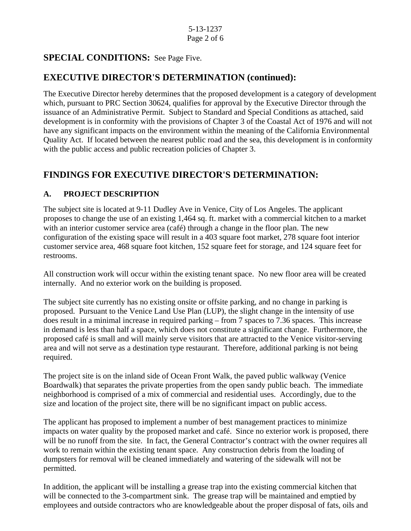## **SPECIAL CONDITIONS:** See Page Five.

## **EXECUTIVE DIRECTOR'S DETERMINATION (continued):**

The Executive Director hereby determines that the proposed development is a category of development which, pursuant to PRC Section 30624, qualifies for approval by the Executive Director through the issuance of an Administrative Permit. Subject to Standard and Special Conditions as attached, said development is in conformity with the provisions of Chapter 3 of the Coastal Act of 1976 and will not have any significant impacts on the environment within the meaning of the California Environmental Quality Act. If located between the nearest public road and the sea, this development is in conformity with the public access and public recreation policies of Chapter 3.

## **FINDINGS FOR EXECUTIVE DIRECTOR'S DETERMINATION:**

### **A. PROJECT DESCRIPTION**

The subject site is located at 9-11 Dudley Ave in Venice, City of Los Angeles. The applicant proposes to change the use of an existing 1,464 sq. ft. market with a commercial kitchen to a market with an interior customer service area (café) through a change in the floor plan. The new configuration of the existing space will result in a 403 square foot market, 278 square foot interior customer service area, 468 square foot kitchen, 152 square feet for storage, and 124 square feet for restrooms.

All construction work will occur within the existing tenant space. No new floor area will be created internally. And no exterior work on the building is proposed.

The subject site currently has no existing onsite or offsite parking, and no change in parking is proposed. Pursuant to the Venice Land Use Plan (LUP), the slight change in the intensity of use does result in a minimal increase in required parking – from 7 spaces to 7.36 spaces. This increase in demand is less than half a space, which does not constitute a significant change. Furthermore, the proposed café is small and will mainly serve visitors that are attracted to the Venice visitor-serving area and will not serve as a destination type restaurant. Therefore, additional parking is not being required.

The project site is on the inland side of Ocean Front Walk, the paved public walkway (Venice Boardwalk) that separates the private properties from the open sandy public beach. The immediate neighborhood is comprised of a mix of commercial and residential uses. Accordingly, due to the size and location of the project site, there will be no significant impact on public access.

The applicant has proposed to implement a number of best management practices to minimize impacts on water quality by the proposed market and café. Since no exterior work is proposed, there will be no runoff from the site. In fact, the General Contractor's contract with the owner requires all work to remain within the existing tenant space. Any construction debris from the loading of dumpsters for removal will be cleaned immediately and watering of the sidewalk will not be permitted.

In addition, the applicant will be installing a grease trap into the existing commercial kitchen that will be connected to the 3-compartment sink. The grease trap will be maintained and emptied by employees and outside contractors who are knowledgeable about the proper disposal of fats, oils and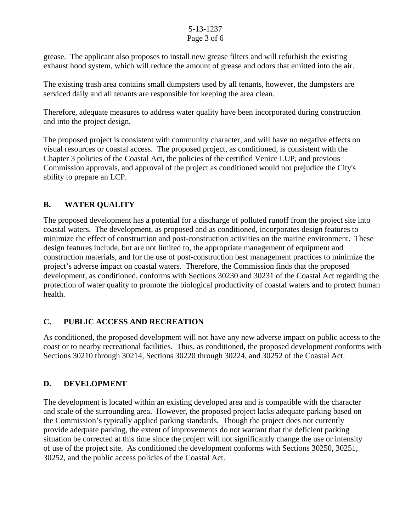#### 5-13-1237 Page 3 of 6

grease. The applicant also proposes to install new grease filters and will refurbish the existing exhaust hood system, which will reduce the amount of grease and odors that emitted into the air.

The existing trash area contains small dumpsters used by all tenants, however, the dumpsters are serviced daily and all tenants are responsible for keeping the area clean.

Therefore, adequate measures to address water quality have been incorporated during construction and into the project design.

The proposed project is consistent with community character, and will have no negative effects on visual resources or coastal access. The proposed project, as conditioned, is consistent with the Chapter 3 policies of the Coastal Act, the policies of the certified Venice LUP, and previous Commission approvals, and approval of the project as conditioned would not prejudice the City's ability to prepare an LCP.

## **B. WATER QUALITY**

The proposed development has a potential for a discharge of polluted runoff from the project site into coastal waters. The development, as proposed and as conditioned, incorporates design features to minimize the effect of construction and post-construction activities on the marine environment. These design features include, but are not limited to, the appropriate management of equipment and construction materials, and for the use of post-construction best management practices to minimize the project's adverse impact on coastal waters. Therefore, the Commission finds that the proposed development, as conditioned, conforms with Sections 30230 and 30231 of the Coastal Act regarding the protection of water quality to promote the biological productivity of coastal waters and to protect human health.

### **C. PUBLIC ACCESS AND RECREATION**

As conditioned, the proposed development will not have any new adverse impact on public access to the coast or to nearby recreational facilities. Thus, as conditioned, the proposed development conforms with Sections 30210 through 30214, Sections 30220 through 30224, and 30252 of the Coastal Act.

### **D. DEVELOPMENT**

The development is located within an existing developed area and is compatible with the character and scale of the surrounding area. However, the proposed project lacks adequate parking based on the Commission's typically applied parking standards. Though the project does not currently provide adequate parking, the extent of improvements do not warrant that the deficient parking situation be corrected at this time since the project will not significantly change the use or intensity of use of the project site. As conditioned the development conforms with Sections 30250, 30251, 30252, and the public access policies of the Coastal Act.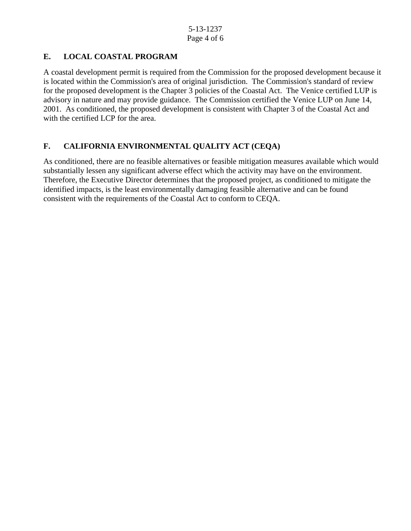### **E. LOCAL COASTAL PROGRAM**

A coastal development permit is required from the Commission for the proposed development because it is located within the Commission's area of original jurisdiction. The Commission's standard of review for the proposed development is the Chapter 3 policies of the Coastal Act. The Venice certified LUP is advisory in nature and may provide guidance. The Commission certified the Venice LUP on June 14, 2001. As conditioned, the proposed development is consistent with Chapter 3 of the Coastal Act and with the certified LCP for the area.

### **F. CALIFORNIA ENVIRONMENTAL QUALITY ACT (CEQA)**

As conditioned, there are no feasible alternatives or feasible mitigation measures available which would substantially lessen any significant adverse effect which the activity may have on the environment. Therefore, the Executive Director determines that the proposed project, as conditioned to mitigate the identified impacts, is the least environmentally damaging feasible alternative and can be found consistent with the requirements of the Coastal Act to conform to CEQA.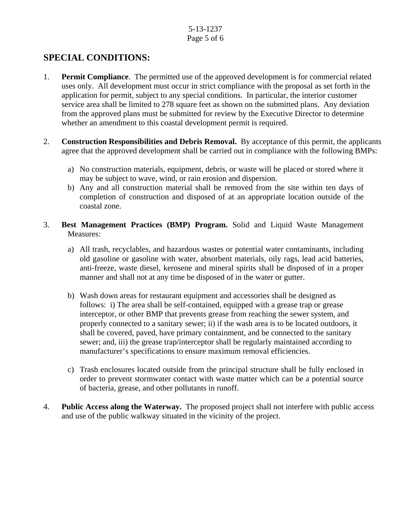#### 5-13-1237 Page 5 of 6

# **SPECIAL CONDITIONS:**

- 1. **Permit Compliance**. The permitted use of the approved development is for commercial related uses only. All development must occur in strict compliance with the proposal as set forth in the application for permit, subject to any special conditions. In particular, the interior customer service area shall be limited to 278 square feet as shown on the submitted plans. Any deviation from the approved plans must be submitted for review by the Executive Director to determine whether an amendment to this coastal development permit is required.
- 2. **Construction Responsibilities and Debris Removal.** By acceptance of this permit, the applicants agree that the approved development shall be carried out in compliance with the following BMPs:
	- a) No construction materials, equipment, debris, or waste will be placed or stored where it may be subject to wave, wind, or rain erosion and dispersion.
	- b) Any and all construction material shall be removed from the site within ten days of completion of construction and disposed of at an appropriate location outside of the coastal zone.
- 3. **Best Management Practices (BMP) Program.** Solid and Liquid Waste Management Measures:
	- a) All trash, recyclables, and hazardous wastes or potential water contaminants, including old gasoline or gasoline with water, absorbent materials, oily rags, lead acid batteries, anti-freeze, waste diesel, kerosene and mineral spirits shall be disposed of in a proper manner and shall not at any time be disposed of in the water or gutter.
	- b) Wash down areas for restaurant equipment and accessories shall be designed as follows: i) The area shall be self-contained, equipped with a grease trap or grease interceptor, or other BMP that prevents grease from reaching the sewer system, and properly connected to a sanitary sewer; ii) if the wash area is to be located outdoors, it shall be covered, paved, have primary containment, and be connected to the sanitary sewer; and, iii) the grease trap/interceptor shall be regularly maintained according to manufacturer's specifications to ensure maximum removal efficiencies.
	- c) Trash enclosures located outside from the principal structure shall be fully enclosed in order to prevent stormwater contact with waste matter which can be a potential source of bacteria, grease, and other pollutants in runoff.
- 4. **Public Access along the Waterway.** The proposed project shall not interfere with public access and use of the public walkway situated in the vicinity of the project.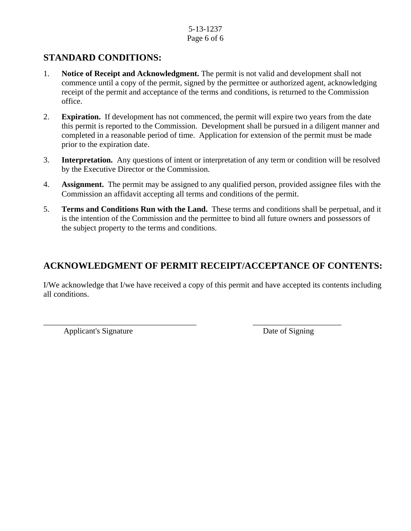#### 5-13-1237 Page 6 of 6

## **STANDARD CONDITIONS:**

- 1. **Notice of Receipt and Acknowledgment.** The permit is not valid and development shall not commence until a copy of the permit, signed by the permittee or authorized agent, acknowledging receipt of the permit and acceptance of the terms and conditions, is returned to the Commission office.
- 2. **Expiration.** If development has not commenced, the permit will expire two years from the date this permit is reported to the Commission. Development shall be pursued in a diligent manner and completed in a reasonable period of time. Application for extension of the permit must be made prior to the expiration date.
- 3. **Interpretation.** Any questions of intent or interpretation of any term or condition will be resolved by the Executive Director or the Commission.
- 4. **Assignment.** The permit may be assigned to any qualified person, provided assignee files with the Commission an affidavit accepting all terms and conditions of the permit.
- 5. **Terms and Conditions Run with the Land.** These terms and conditions shall be perpetual, and it is the intention of the Commission and the permittee to bind all future owners and possessors of the subject property to the terms and conditions.

# **ACKNOWLEDGMENT OF PERMIT RECEIPT/ACCEPTANCE OF CONTENTS:**

I/We acknowledge that I/we have received a copy of this permit and have accepted its contents including all conditions.

\_\_\_\_\_\_\_\_\_\_\_\_\_\_\_\_\_\_\_\_\_\_\_\_\_\_\_\_\_\_\_\_\_\_\_\_\_\_ \_\_\_\_\_\_\_\_\_\_\_\_\_\_\_\_\_\_\_\_\_\_

Applicant's Signature Date of Signing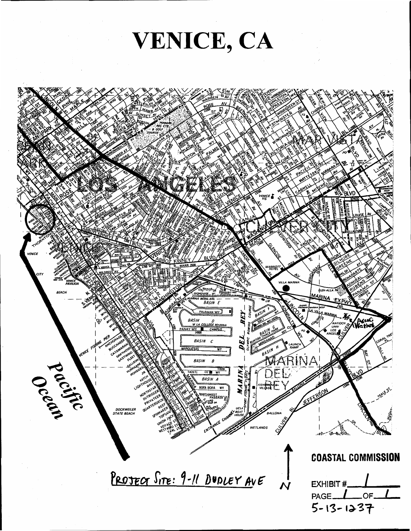VENICE, CA

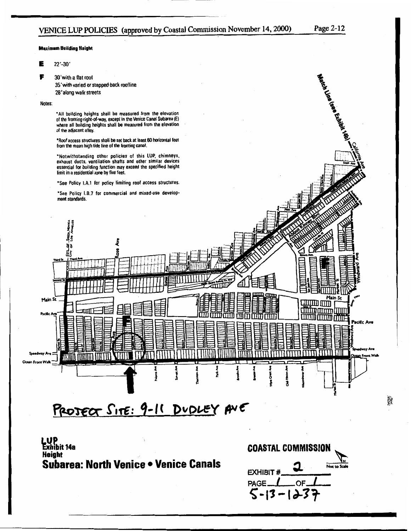# VENICE LUP POLICIES (approved by Coastal Commission November 14, 2000)

**Maximum Building Height** 

Е  $22 - 30'$ 

> 30' with a flat roof 35' with varied or stepped back roofline 28'along walk streets

Notes:

F

\*All building heights shall be measured from the elevation of the fronting right-of-way, except in the Venice Canal Subarea (E)<br>where all building heights shall be measured from the elevation of the adjacent alley.

\*Roof access structures shall be set back at least 60 horizontal feet from the mean high tide line of the fronting canal.

\*Notwithstanding other policies of this LUP, chimneys, exhaust ducts, ventilation shafts and other similar devices essential for building function may exceed the specified height limit in a residential zone by five feet.

\*See Policy I.A.1 for policy limiting roof access structures.

"See Policy I.B.7 for commercial and mixed-use development standards.



PROJECT SITE: 9-11 DUDLEY ANE

**LUP**<br>Exhibit 14a **Height** Subarea: North Venice . Venice Canals



p.<br>K

Page 2-12

Watch Line team Exhibit